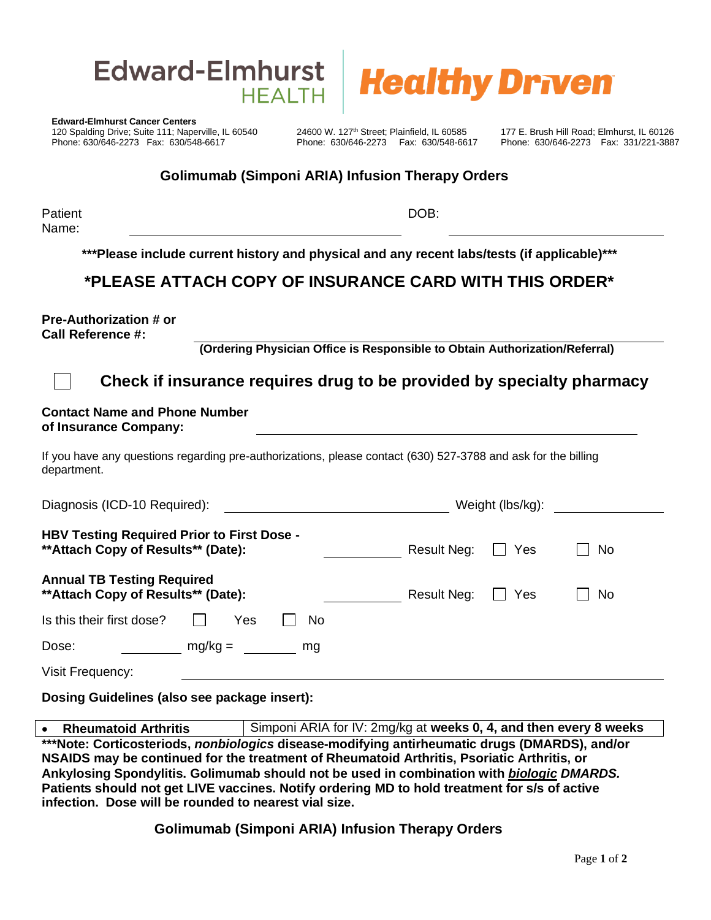



**Edward-Elmhurst Cancer Centers** er 120 Spalding Drive; Suite 111; Naperville, IL 60540 24600 W. 127<sup>th</sup> Street; Plainfield, IL 60585 177 E. Brush Hill Road; Elmhurst, IL 60126<br>Phone: 630/646-2273 Fax: 630/548-6617 Phone: 630/646-2273 Fax: 630/548-6617 Ph Phone: 630/646-2273 Fax: 630/548-6617

## **Golimumab (Simponi ARIA) Infusion Therapy Orders**

**Patient** Name:

DOB:

**\*\*\*Please include current history and physical and any recent labs/tests (if applicable)\*\*\***

## **\*PLEASE ATTACH COPY OF INSURANCE CARD WITH THIS ORDER\***

**Pre-Authorization # or Call Reference #:**

**(Ordering Physician Office is Responsible to Obtain Authorization/Referral)**

## **Check if insurance requires drug to be provided by specialty pharmacy**

## **Contact Name and Phone Number of Insurance Company:**

If you have any questions regarding pre-authorizations, please contact (630) 527-3788 and ask for the billing department.

| Diagnosis (ICD-10 Required):                                                             |           |    |             | Weight (lbs/kg): |     |
|------------------------------------------------------------------------------------------|-----------|----|-------------|------------------|-----|
| <b>HBV Testing Required Prior to First Dose -</b><br>** Attach Copy of Results** (Date): |           |    | Result Neg: | Yes              | No  |
| <b>Annual TB Testing Required</b><br>** Attach Copy of Results** (Date):                 |           |    | Result Neg: | Yes              | No. |
| Is this their first dose?                                                                | Yes       | No |             |                  |     |
| Dose:                                                                                    | $mg/kg =$ | mg |             |                  |     |
| Visit Frequency:                                                                         |           |    |             |                  |     |

**Dosing Guidelines (also see package insert):** 

**Rheumatoid Arthritis** Simponi ARIA for IV: 2mg/kg at weeks 0, 4, and then every 8 weeks **\*\*\*Note: Corticosteriods,** *nonbiologics* **disease-modifying antirheumatic drugs (DMARDS), and/or NSAIDS may be continued for the treatment of Rheumatoid Arthritis, Psoriatic Arthritis, or Ankylosing Spondylitis. Golimumab should not be used in combination with** *biologic DMARDS.*  **Patients should not get LIVE vaccines. Notify ordering MD to hold treatment for s/s of active infection. Dose will be rounded to nearest vial size.**

**Golimumab (Simponi ARIA) Infusion Therapy Orders**